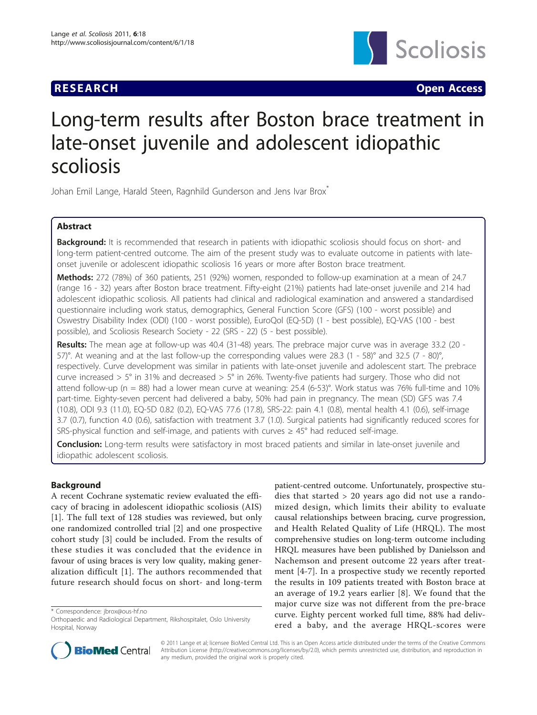

**RESEARCH CONSTRUCTION CONSTRUCTS** 

# Long-term results after Boston brace treatment in late-onset juvenile and adolescent idiopathic scoliosis

Johan Emil Lange, Harald Steen, Ragnhild Gunderson and Jens Ivar Brox\*

# Abstract

**Background:** It is recommended that research in patients with idiopathic scoliosis should focus on short- and long-term patient-centred outcome. The aim of the present study was to evaluate outcome in patients with lateonset juvenile or adolescent idiopathic scoliosis 16 years or more after Boston brace treatment.

Methods: 272 (78%) of 360 patients, 251 (92%) women, responded to follow-up examination at a mean of 24.7 (range 16 - 32) years after Boston brace treatment. Fifty-eight (21%) patients had late-onset juvenile and 214 had adolescent idiopathic scoliosis. All patients had clinical and radiological examination and answered a standardised questionnaire including work status, demographics, General Function Score (GFS) (100 - worst possible) and Oswestry Disability Index (ODI) (100 - worst possible), EuroQol (EQ-5D) (1 - best possible), EQ-VAS (100 - best possible), and Scoliosis Research Society - 22 (SRS - 22) (5 - best possible).

Results: The mean age at follow-up was 40.4 (31-48) years. The prebrace major curve was in average 33.2 (20 -57)°. At weaning and at the last follow-up the corresponding values were 28.3 (1 - 58)° and 32.5 (7 - 80)°, respectively. Curve development was similar in patients with late-onset juvenile and adolescent start. The prebrace curve increased > 5° in 31% and decreased > 5° in 26%. Twenty-five patients had surgery. Those who did not attend follow-up (n = 88) had a lower mean curve at weaning: 25.4 (6-53)°. Work status was 76% full-time and 10% part-time. Eighty-seven percent had delivered a baby, 50% had pain in pregnancy. The mean (SD) GFS was 7.4 (10.8), ODI 9.3 (11.0), EQ-5D 0.82 (0.2), EQ-VAS 77.6 (17.8), SRS-22: pain 4.1 (0.8), mental health 4.1 (0.6), self-image 3.7 (0.7), function 4.0 (0.6), satisfaction with treatment 3.7 (1.0). Surgical patients had significantly reduced scores for SRS-physical function and self-image, and patients with curves  $\geq 45^{\circ}$  had reduced self-image.

Conclusion: Long-term results were satisfactory in most braced patients and similar in late-onset juvenile and idiopathic adolescent scoliosis.

# Background

A recent Cochrane systematic review evaluated the efficacy of bracing in adolescent idiopathic scoliosis (AIS) [[1](#page-8-0)]. The full text of 128 studies was reviewed, but only one randomized controlled trial [[2](#page-8-0)] and one prospective cohort study [[3](#page-8-0)] could be included. From the results of these studies it was concluded that the evidence in favour of using braces is very low quality, making generalization difficult [[1\]](#page-8-0). The authors recommended that future research should focus on short- and long-term

\* Correspondence: [jbrox@ous-hf.no](mailto:jbrox@ous-hf.no)

patient-centred outcome. Unfortunately, prospective studies that started > 20 years ago did not use a randomized design, which limits their ability to evaluate causal relationships between bracing, curve progression, and Health Related Quality of Life (HRQL). The most comprehensive studies on long-term outcome including HRQL measures have been published by Danielsson and Nachemson and present outcome 22 years after treatment [[4-7\]](#page-8-0). In a prospective study we recently reported the results in 109 patients treated with Boston brace at an average of 19.2 years earlier [[8\]](#page-8-0). We found that the major curve size was not different from the pre-brace curve. Eighty percent worked full time, 88% had delivered a baby, and the average HRQL-scores were



© 2011 Lange et al; licensee BioMed Central Ltd. This is an Open Access article distributed under the terms of the Creative Commons Attribution License [\(http://creativecommons.org/licenses/by/2.0](http://creativecommons.org/licenses/by/2.0)), which permits unrestricted use, distribution, and reproduction in any medium, provided the original work is properly cited.

Orthopaedic and Radiological Department, Rikshospitalet, Oslo University Hospital, Norway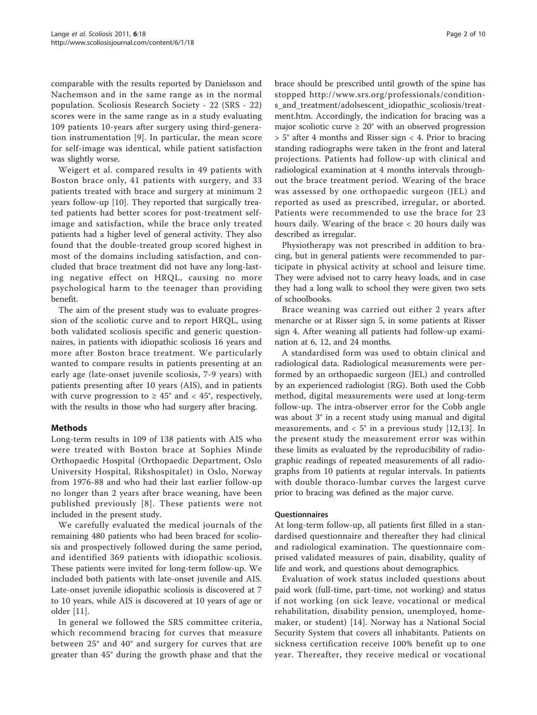comparable with the results reported by Danielsson and Nachemson and in the same range as in the normal population. Scoliosis Research Society - 22 (SRS - 22) scores were in the same range as in a study evaluating 109 patients 10-years after surgery using third-generation instrumentation [[9](#page-8-0)]. In particular, the mean score for self-image was identical, while patient satisfaction was slightly worse.

Weigert et al. compared results in 49 patients with Boston brace only, 41 patients with surgery, and 33 patients treated with brace and surgery at minimum 2 years follow-up [\[10](#page-8-0)]. They reported that surgically treated patients had better scores for post-treatment selfimage and satisfaction, while the brace only treated patients had a higher level of general activity. They also found that the double-treated group scored highest in most of the domains including satisfaction, and concluded that brace treatment did not have any long-lasting negative effect on HRQL, causing no more psychological harm to the teenager than providing benefit.

The aim of the present study was to evaluate progression of the scoliotic curve and to report HRQL, using both validated scoliosis specific and generic questionnaires, in patients with idiopathic scoliosis 16 years and more after Boston brace treatment. We particularly wanted to compare results in patients presenting at an early age (late-onset juvenile scoliosis, 7-9 years) with patients presenting after 10 years (AIS), and in patients with curve progression to  $\geq 45^{\circ}$  and  $\lt 45^{\circ}$ , respectively, with the results in those who had surgery after bracing.

# Methods

Long-term results in 109 of 138 patients with AIS who were treated with Boston brace at Sophies Minde Orthopaedic Hospital (Orthopaedic Department, Oslo University Hospital, Rikshospitalet) in Oslo, Norway from 1976-88 and who had their last earlier follow-up no longer than 2 years after brace weaning, have been published previously [[8\]](#page-8-0). These patients were not included in the present study.

We carefully evaluated the medical journals of the remaining 480 patients who had been braced for scoliosis and prospectively followed during the same period, and identified 369 patients with idiopathic scoliosis. These patients were invited for long-term follow-up. We included both patients with late-onset juvenile and AIS. Late-onset juvenile idiopathic scoliosis is discovered at 7 to 10 years, while AIS is discovered at 10 years of age or older [[11\]](#page-8-0).

In general we followed the SRS committee criteria, which recommend bracing for curves that measure between 25° and 40° and surgery for curves that are greater than 45° during the growth phase and that the brace should be prescribed until growth of the spine has stopped [http://www.srs.org/professionals/condition](http://www.srs.org/professionals/conditions_and_treatment/adolsescent_idiopathic_scoliosis/treatment.htm)[s\\_and\\_treatment/adolsescent\\_idiopathic\\_scoliosis/treat](http://www.srs.org/professionals/conditions_and_treatment/adolsescent_idiopathic_scoliosis/treatment.htm)[ment.htm.](http://www.srs.org/professionals/conditions_and_treatment/adolsescent_idiopathic_scoliosis/treatment.htm) Accordingly, the indication for bracing was a major scoliotic curve  $\geq 20^{\circ}$  with an observed progression  $> 5^{\circ}$  after 4 months and Risser sign  $< 4$ . Prior to bracing standing radiographs were taken in the front and lateral projections. Patients had follow-up with clinical and radiological examination at 4 months intervals throughout the brace treatment period. Wearing of the brace was assessed by one orthopaedic surgeon (JEL) and reported as used as prescribed, irregular, or aborted. Patients were recommended to use the brace for 23 hours daily. Wearing of the brace < 20 hours daily was described as irregular.

Physiotherapy was not prescribed in addition to bracing, but in general patients were recommended to participate in physical activity at school and leisure time. They were advised not to carry heavy loads, and in case they had a long walk to school they were given two sets of schoolbooks.

Brace weaning was carried out either 2 years after menarche or at Risser sign 5, in some patients at Risser sign 4. After weaning all patients had follow-up examination at 6, 12, and 24 months.

A standardised form was used to obtain clinical and radiological data. Radiological measurements were performed by an orthopaedic surgeon (JEL) and controlled by an experienced radiologist (RG). Both used the Cobb method, digital measurements were used at long-term follow-up. The intra-observer error for the Cobb angle was about 3° in a recent study using manual and digital measurements, and  $< 5^{\circ}$  in a previous study [\[12](#page-8-0),[13\]](#page-8-0). In the present study the measurement error was within these limits as evaluated by the reproducibility of radiographic readings of repeated measurements of all radiographs from 10 patients at regular intervals. In patients with double thoraco-lumbar curves the largest curve prior to bracing was defined as the major curve.

#### **Ouestionnaires**

At long-term follow-up, all patients first filled in a standardised questionnaire and thereafter they had clinical and radiological examination. The questionnaire comprised validated measures of pain, disability, quality of life and work, and questions about demographics.

Evaluation of work status included questions about paid work (full-time, part-time, not working) and status if not working (on sick leave, vocational or medical rehabilitation, disability pension, unemployed, homemaker, or student) [[14](#page-8-0)]. Norway has a National Social Security System that covers all inhabitants. Patients on sickness certification receive 100% benefit up to one year. Thereafter, they receive medical or vocational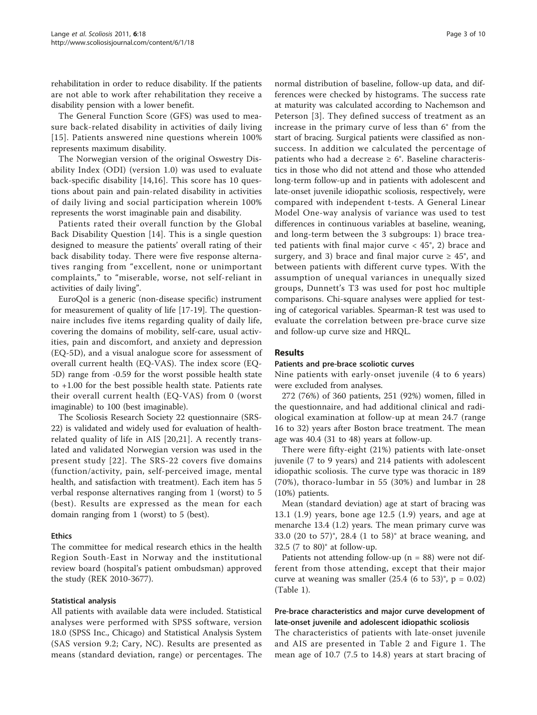rehabilitation in order to reduce disability. If the patients are not able to work after rehabilitation they receive a disability pension with a lower benefit.

The General Function Score (GFS) was used to measure back-related disability in activities of daily living [[15\]](#page-8-0). Patients answered nine questions wherein 100% represents maximum disability.

The Norwegian version of the original Oswestry Disability Index (ODI) (version 1.0) was used to evaluate back-specific disability [\[14](#page-8-0),[16\]](#page-8-0). This score has 10 questions about pain and pain-related disability in activities of daily living and social participation wherein 100% represents the worst imaginable pain and disability.

Patients rated their overall function by the Global Back Disability Question [[14](#page-8-0)]. This is a single question designed to measure the patients' overall rating of their back disability today. There were five response alternatives ranging from "excellent, none or unimportant complaints," to "miserable, worse, not self-reliant in activities of daily living".

EuroQol is a generic (non-disease specific) instrument for measurement of quality of life [\[17](#page-8-0)-[19](#page-8-0)]. The questionnaire includes five items regarding quality of daily life, covering the domains of mobility, self-care, usual activities, pain and discomfort, and anxiety and depression (EQ-5D), and a visual analogue score for assessment of overall current health (EQ-VAS). The index score (EQ-5D) range from -0.59 for the worst possible health state to +1.00 for the best possible health state. Patients rate their overall current health (EQ-VAS) from 0 (worst imaginable) to 100 (best imaginable).

The Scoliosis Research Society 22 questionnaire (SRS-22) is validated and widely used for evaluation of healthrelated quality of life in AIS [[20](#page-8-0),[21](#page-8-0)]. A recently translated and validated Norwegian version was used in the present study [[22](#page-8-0)]. The SRS-22 covers five domains (function/activity, pain, self-perceived image, mental health, and satisfaction with treatment). Each item has 5 verbal response alternatives ranging from 1 (worst) to 5 (best). Results are expressed as the mean for each domain ranging from 1 (worst) to 5 (best).

# Ethics

The committee for medical research ethics in the health Region South-East in Norway and the institutional review board (hospital's patient ombudsman) approved the study (REK 2010-3677).

#### Statistical analysis

All patients with available data were included. Statistical analyses were performed with SPSS software, version 18.0 (SPSS Inc., Chicago) and Statistical Analysis System (SAS version 9.2; Cary, NC). Results are presented as means (standard deviation, range) or percentages. The

normal distribution of baseline, follow-up data, and differences were checked by histograms. The success rate at maturity was calculated according to Nachemson and Peterson [[3](#page-8-0)]. They defined success of treatment as an increase in the primary curve of less than 6° from the start of bracing. Surgical patients were classified as nonsuccess. In addition we calculated the percentage of patients who had a decrease  $\geq 6^{\circ}$ . Baseline characteristics in those who did not attend and those who attended long-term follow-up and in patients with adolescent and late-onset juvenile idiopathic scoliosis, respectively, were compared with independent t-tests. A General Linear Model One-way analysis of variance was used to test differences in continuous variables at baseline, weaning, and long-term between the 3 subgroups: 1) brace treated patients with final major curve  $<$  45°, 2) brace and surgery, and 3) brace and final major curve  $\geq 45^{\circ}$ , and between patients with different curve types. With the assumption of unequal variances in unequally sized groups, Dunnett's T3 was used for post hoc multiple comparisons. Chi-square analyses were applied for testing of categorical variables. Spearman-R test was used to evaluate the correlation between pre-brace curve size and follow-up curve size and HRQL.

# Results

#### Patients and pre-brace scoliotic curves

Nine patients with early-onset juvenile (4 to 6 years) were excluded from analyses.

272 (76%) of 360 patients, 251 (92%) women, filled in the questionnaire, and had additional clinical and radiological examination at follow-up at mean 24.7 (range 16 to 32) years after Boston brace treatment. The mean age was 40.4 (31 to 48) years at follow-up.

There were fifty-eight (21%) patients with late-onset juvenile (7 to 9 years) and 214 patients with adolescent idiopathic scoliosis. The curve type was thoracic in 189 (70%), thoraco-lumbar in 55 (30%) and lumbar in 28 (10%) patients.

Mean (standard deviation) age at start of bracing was 13.1 (1.9) years, bone age 12.5 (1.9) years, and age at menarche 13.4 (1.2) years. The mean primary curve was 33.0 (20 to 57)°, 28.4 (1 to 58)° at brace weaning, and 32.5 (7 to 80)° at follow-up.

Patients not attending follow-up ( $n = 88$ ) were not different from those attending, except that their major curve at weaning was smaller  $(25.4 (6 \text{ to } 53)^\circ, p = 0.02)$ (Table [1\)](#page-3-0).

# Pre-brace characteristics and major curve development of late-onset juvenile and adolescent idiopathic scoliosis

The characteristics of patients with late-onset juvenile and AIS are presented in Table [2](#page-3-0) and Figure [1](#page-3-0). The mean age of 10.7 (7.5 to 14.8) years at start bracing of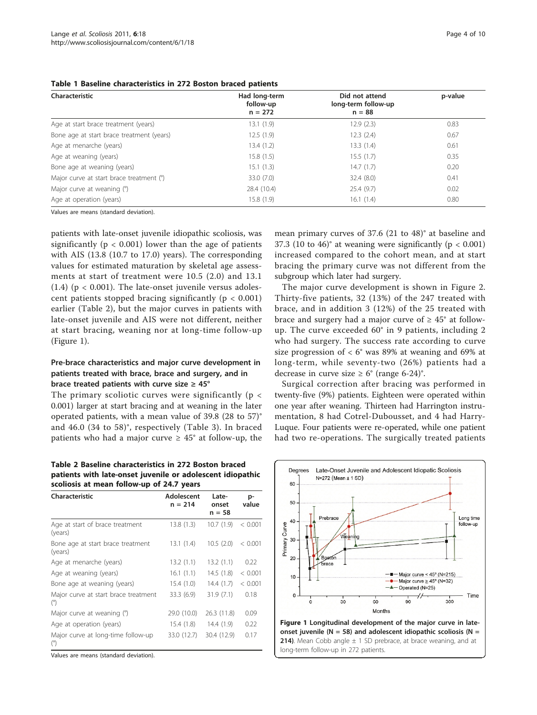#### <span id="page-3-0"></span>Table 1 Baseline characteristics in 272 Boston braced patients

| Characteristic                            | Had long-term<br>follow-up | Did not attend<br>long-term follow-up | p-value |
|-------------------------------------------|----------------------------|---------------------------------------|---------|
|                                           | $n = 272$                  | $n = 88$                              |         |
| Age at start brace treatment (years)      | 13.1(1.9)                  | 12.9(2.3)                             | 0.83    |
| Bone age at start brace treatment (years) | 12.5(1.9)                  | 12.3(2.4)                             | 0.67    |
| Age at menarche (years)                   | 13.4(1.2)                  | 13.3(1.4)                             | 0.61    |
| Age at weaning (years)                    | 15.8(1.5)                  | 15.5(1.7)                             | 0.35    |
| Bone age at weaning (years)               | 15.1(1.3)                  | 14.7(1.7)                             | 0.20    |
| Major curve at start brace treatment (°)  | 33.0(7.0)                  | 32.4(8.0)                             | 0.41    |
| Major curve at weaning (°)                | 28.4 (10.4)                | 25.4(9.7)                             | 0.02    |
| Age at operation (years)                  | 15.8(1.9)                  | 16.1(1.4)                             | 0.80    |

Values are means (standard deviation).

patients with late-onset juvenile idiopathic scoliosis, was significantly ( $p < 0.001$ ) lower than the age of patients with AIS (13.8 (10.7 to 17.0) years). The corresponding values for estimated maturation by skeletal age assessments at start of treatment were 10.5 (2.0) and 13.1 (1.4) ( $p < 0.001$ ). The late-onset juvenile versus adolescent patients stopped bracing significantly ( $p < 0.001$ ) earlier (Table 2), but the major curves in patients with late-onset juvenile and AIS were not different, neither at start bracing, weaning nor at long-time follow-up (Figure 1).

# Pre-brace characteristics and major curve development in patients treated with brace, brace and surgery, and in brace treated patients with curve size  $\geq 45^{\circ}$

The primary scoliotic curves were significantly ( $p <$ 0.001) larger at start bracing and at weaning in the later operated patients, with a mean value of 39.8 (28 to 57)° and 46.0 (34 to 58)°, respectively (Table [3](#page-4-0)). In braced patients who had a major curve  $\geq 45^{\circ}$  at follow-up, the

Table 2 Baseline characteristics in 272 Boston braced patients with late-onset juvenile or adolescent idiopathic scoliosis at mean follow-up of 24.7 years

| Characteristic                                     | Adolescent<br>$n = 214$ | Late-<br>onset<br>$n = 58$ | p-<br>value |
|----------------------------------------------------|-------------------------|----------------------------|-------------|
| Age at start of brace treatment<br>(years)         | 13.8(1.3)               | 10.7(1.9)                  | < 0.001     |
| Bone age at start brace treatment<br>(years)       | 13.1(1.4)               | 10.5(2.0)                  | < 0.001     |
| Age at menarche (years)                            | 13.2(1.1)               | 13.2(1.1)                  | 0.22        |
| Age at weaning (years)                             | 16.1(1.1)               | 14.5(1.8)                  | < 0.001     |
| Bone age at weaning (years)                        | 15.4(1.0)               | 14.4(1.7)                  | < 0.001     |
| Major curve at start brace treatment<br>$^{\circ}$ | 33.3(6.9)               | 31.9(7.1)                  | 0.18        |
| Major curve at weaning (°)                         | 29.0 (10.0)             | 26.3 (11.8)                | 0.09        |
| Age at operation (years)                           | 15.4(1.8)               | 14.4(1.9)                  | 0.22        |
| Major curve at long-time follow-up<br>$^{\circ}$   | 33.0 (12.7)             | 30.4 (12.9)                | 0.17        |

Values are means (standard deviation).

mean primary curves of 37.6 (21 to 48)° at baseline and 37.3 (10 to 46) $^{\circ}$  at weaning were significantly (p < 0.001) increased compared to the cohort mean, and at start bracing the primary curve was not different from the subgroup which later had surgery.

The major curve development is shown in Figure [2](#page-4-0). Thirty-five patients, 32 (13%) of the 247 treated with brace, and in addition 3 (12%) of the 25 treated with brace and surgery had a major curve of  $\geq 45^{\circ}$  at followup. The curve exceeded 60° in 9 patients, including 2 who had surgery. The success rate according to curve size progression of  $< 6^{\circ}$  was 89% at weaning and 69% at long-term, while seventy-two (26%) patients had a decrease in curve size  $\geq 6^{\circ}$  (range 6-24)°.

Surgical correction after bracing was performed in twenty-five (9%) patients. Eighteen were operated within one year after weaning. Thirteen had Harrington instrumentation, 8 had Cotrel-Dubousset, and 4 had Harry-Luque. Four patients were re-operated, while one patient had two re-operations. The surgically treated patients

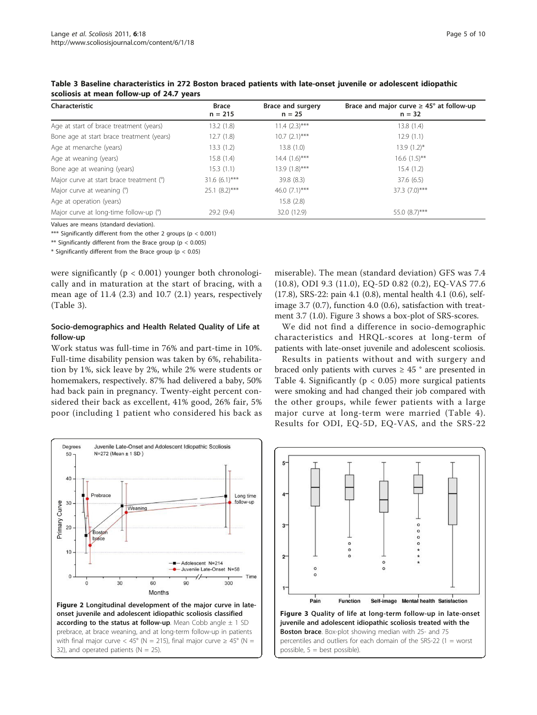| Characteristic                            | <b>Brace</b><br>$n = 215$ | <b>Brace and surgery</b><br>$n = 25$ | Brace and major curve $\geq 45^{\circ}$ at follow-up<br>$n = 32$ |
|-------------------------------------------|---------------------------|--------------------------------------|------------------------------------------------------------------|
| Age at start of brace treatment (years)   | 13.2(1.8)                 | $11.4 (2.3)***$                      | 13.8(1.4)                                                        |
| Bone age at start brace treatment (years) | 12.7(1.8)                 | $10.7 (2.1)$ ***                     | 12.9(1.1)                                                        |
| Age at menarche (years)                   | 13.3(1.2)                 | 13.8(1.0)                            | $13.9(1.2)^{*}$                                                  |
| Age at weaning (years)                    | 15.8(1.4)                 | $14.4$ $(1.6)$ ***                   | $16.6(1.5)$ **                                                   |
| Bone age at weaning (years)               | 15.3(1.1)                 | 13.9 (1.8)***                        | 15.4(1.2)                                                        |
| Major curve at start brace treatment (°)  | $31.6(6.1)$ ***           | 39.8(8.3)                            | 37.6(6.5)                                                        |
| Major curve at weaning (°)                | $25.1 (8.2)$ ***          | 46.0 $(7.1)$ ***                     | 37.3 (7.0)***                                                    |
| Age at operation (years)                  |                           | 15.8(2.8)                            |                                                                  |
| Major curve at long-time follow-up (°)    | 29.2(9.4)                 | 32.0 (12.9)                          | 55.0 (8.7)***                                                    |

<span id="page-4-0"></span>Table 3 Baseline characteristics in 272 Boston braced patients with late-onset juvenile or adolescent idiopathic scoliosis at mean follow-up of 24.7 years

Values are means (standard deviation).

\*\*\* Significantly different from the other 2 groups (p < 0.001)

\*\* Significantly different from the Brace group ( $p < 0.005$ )

 $*$  Significantly different from the Brace group ( $p < 0.05$ )

were significantly ( $p < 0.001$ ) younger both chronologically and in maturation at the start of bracing, with a mean age of 11.4 (2.3) and 10.7 (2.1) years, respectively (Table 3).

# Socio-demographics and Health Related Quality of Life at follow-up

Work status was full-time in 76% and part-time in 10%. Full-time disability pension was taken by 6%, rehabilitation by 1%, sick leave by 2%, while 2% were students or homemakers, respectively. 87% had delivered a baby, 50% had back pain in pregnancy. Twenty-eight percent considered their back as excellent, 41% good, 26% fair, 5% poor (including 1 patient who considered his back as



miserable). The mean (standard deviation) GFS was 7.4 (10.8), ODI 9.3 (11.0), EQ-5D 0.82 (0.2), EQ-VAS 77.6 (17.8), SRS-22: pain 4.1 (0.8), mental health 4.1 (0.6), selfimage 3.7 (0.7), function 4.0 (0.6), satisfaction with treatment 3.7 (1.0). Figure 3 shows a box-plot of SRS-scores.

We did not find a difference in socio-demographic characteristics and HRQL-scores at long-term of patients with late-onset juvenile and adolescent scoliosis.

Results in patients without and with surgery and braced only patients with curves  $\geq 45$  ° are presented in Table [4](#page-5-0). Significantly ( $p < 0.05$ ) more surgical patients were smoking and had changed their job compared with the other groups, while fewer patients with a large major curve at long-term were married (Table [4\)](#page-5-0). Results for ODI, EQ-5D, EQ-VAS, and the SRS-22

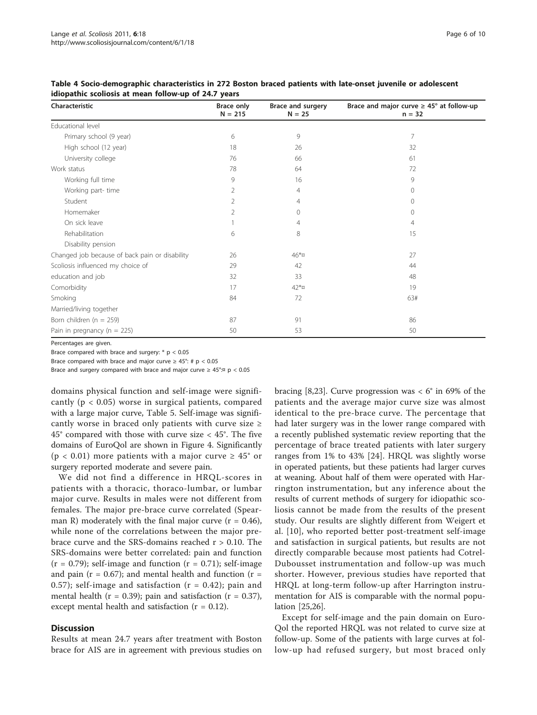| Characteristic                                 | <b>Brace only</b><br>$N = 215$ | Brace and surgery<br>$N = 25$ | Brace and major curve $\geq 45^{\circ}$ at follow-up<br>$n = 32$ |
|------------------------------------------------|--------------------------------|-------------------------------|------------------------------------------------------------------|
| Educational level                              |                                |                               |                                                                  |
| Primary school (9 year)                        | 6                              | 9                             | 7                                                                |
| High school (12 year)                          | 18                             | 26                            | 32                                                               |
| University college                             | 76                             | 66                            | 61                                                               |
| Work status                                    | 78                             | 64                            | 72                                                               |
| Working full time                              | 9                              | 16                            | 9                                                                |
| Working part-time                              | 2                              | 4                             | $\Omega$                                                         |
| Student                                        | 2                              | 4                             | 0                                                                |
| Homemaker                                      | 2                              | 0                             | 0                                                                |
| On sick leave                                  |                                | 4                             | 4                                                                |
| Rehabilitation                                 | 6                              | 8                             | 15                                                               |
| Disability pension                             |                                |                               |                                                                  |
| Changed job because of back pain or disability | 26                             | $46*$ ¤                       | 27                                                               |
| Scoliosis influenced my choice of              | 29                             | 42                            | 44                                                               |
| education and job                              | 32                             | 33                            | 48                                                               |
| Comorbidity                                    | 17                             | $42*$ ¤                       | 19                                                               |
| Smoking                                        | 84                             | 72                            | 63#                                                              |
| Married/living together                        |                                |                               |                                                                  |
| Born children ( $n = 259$ )                    | 87                             | 91                            | 86                                                               |
| Pain in pregnancy ( $n = 225$ )                | 50                             | 53                            | 50                                                               |

<span id="page-5-0"></span>Table 4 Socio-demographic characteristics in 272 Boston braced patients with late-onset juvenile or adolescent idiopathic scoliosis at mean follow-up of 24.7 years

Percentages are given.

Brace compared with brace and surgery: \* p < 0.05

Brace compared with brace and major curve  $\geq 45^{\circ}$ : # p < 0.05

Brace and surgery compared with brace and major curve  $\geq 45^{\circ}$ : $\alpha$  p < 0.05

domains physical function and self-image were significantly ( $p < 0.05$ ) worse in surgical patients, compared with a large major curve, Table [5.](#page-6-0) Self-image was significantly worse in braced only patients with curve size  $\geq$  $45^{\circ}$  compared with those with curve size <  $45^{\circ}$ . The five domains of EuroQol are shown in Figure [4.](#page-7-0) Significantly ( $p < 0.01$ ) more patients with a major curve  $\geq 45^{\circ}$  or surgery reported moderate and severe pain.

We did not find a difference in HRQL-scores in patients with a thoracic, thoraco-lumbar, or lumbar major curve. Results in males were not different from females. The major pre-brace curve correlated (Spearman R) moderately with the final major curve  $(r = 0.46)$ , while none of the correlations between the major prebrace curve and the SRS-domains reached r > 0.10. The SRS-domains were better correlated: pain and function  $(r = 0.79)$ ; self-image and function  $(r = 0.71)$ ; self-image and pain ( $r = 0.67$ ); and mental health and function ( $r =$ 0.57); self-image and satisfaction  $(r = 0.42)$ ; pain and mental health ( $r = 0.39$ ); pain and satisfaction ( $r = 0.37$ ), except mental health and satisfaction  $(r = 0.12)$ .

### **Discussion**

Results at mean 24.7 years after treatment with Boston brace for AIS are in agreement with previous studies on bracing [\[8,23](#page-8-0)]. Curve progression was  $< 6^{\circ}$  in 69% of the patients and the average major curve size was almost identical to the pre-brace curve. The percentage that had later surgery was in the lower range compared with a recently published systematic review reporting that the percentage of brace treated patients with later surgery ranges from 1% to 43% [[24](#page-8-0)]. HRQL was slightly worse in operated patients, but these patients had larger curves at weaning. About half of them were operated with Harrington instrumentation, but any inference about the results of current methods of surgery for idiopathic scoliosis cannot be made from the results of the present study. Our results are slightly different from Weigert et al. [[10](#page-8-0)], who reported better post-treatment self-image and satisfaction in surgical patients, but results are not directly comparable because most patients had Cotrel-Dubousset instrumentation and follow-up was much shorter. However, previous studies have reported that HRQL at long-term follow-up after Harrington instrumentation for AIS is comparable with the normal population [\[25,26\]](#page-8-0).

Except for self-image and the pain domain on Euro-Qol the reported HRQL was not related to curve size at follow-up. Some of the patients with large curves at follow-up had refused surgery, but most braced only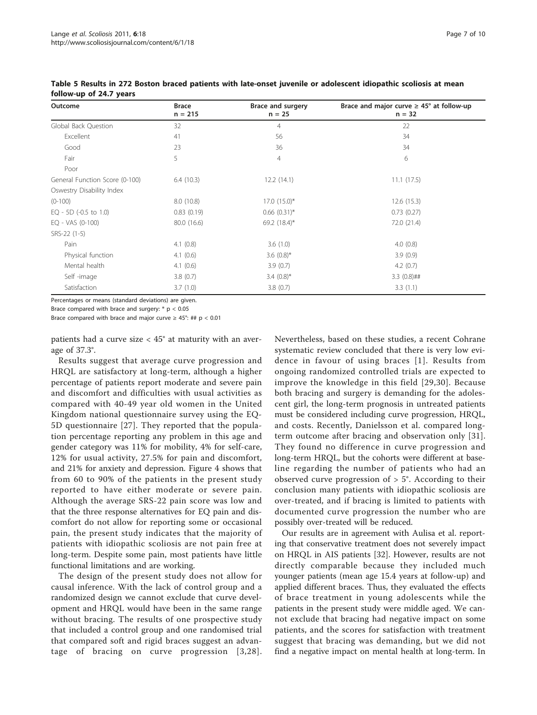| Outcome                        | <b>Brace</b><br>$n = 215$ | Brace and surgery<br>$n = 25$ | Brace and major curve $\geq 45^{\circ}$ at follow-up<br>$n = 32$ |
|--------------------------------|---------------------------|-------------------------------|------------------------------------------------------------------|
| Global Back Question           | 32                        | $\overline{4}$                | 22                                                               |
| Excellent                      | 41                        | 56                            | 34                                                               |
| Good                           | 23                        | 36                            | 34                                                               |
| Fair                           | 5                         | $\overline{4}$                | 6                                                                |
| Poor                           |                           |                               |                                                                  |
| General Function Score (0-100) | 6.4(10.3)                 | 12.2(14.1)                    | 11.1(17.5)                                                       |
| Oswestry Disability Index      |                           |                               |                                                                  |
| $(0-100)$                      | 8.0(10.8)                 | $17.0$ $(15.0)^*$             | 12.6(15.3)                                                       |
| EQ - 5D (-0.5 to 1.0)          | 0.83(0.19)                | $0.66$ $(0.31)^*$             | 0.73(0.27)                                                       |
| $EQ - VAS (0-100)$             | 80.0 (16.6)               | 69.2 $(18.4)^*$               | 72.0 (21.4)                                                      |
| SRS-22 (1-5)                   |                           |                               |                                                                  |
| Pain                           | 4.1(0.8)                  | 3.6(1.0)                      | 4.0(0.8)                                                         |
| Physical function              | 4.1 $(0.6)$               | 3.6 $(0.8)$ *                 | 3.9(0.9)                                                         |
| Mental health                  | 4.1(0.6)                  | 3.9(0.7)                      | 4.2(0.7)                                                         |
| Self-image                     | 3.8(0.7)                  | $3.4(0.8)$ *                  | $3.3(0.8)$ ##                                                    |
| Satisfaction                   | 3.7(1.0)                  | 3.8(0.7)                      | 3.3(1.1)                                                         |

<span id="page-6-0"></span>Table 5 Results in 272 Boston braced patients with late-onset juvenile or adolescent idiopathic scoliosis at mean follow-up of 24.7 years

Percentages or means (standard deviations) are given.

Brace compared with brace and surgery:  $* p < 0.05$ 

Brace compared with brace and major curve  $\geq 45^{\circ}$ : ## p < 0.01

patients had a curve size  $<$  45 $^{\circ}$  at maturity with an average of 37.3°.

Results suggest that average curve progression and HRQL are satisfactory at long-term, although a higher percentage of patients report moderate and severe pain and discomfort and difficulties with usual activities as compared with 40-49 year old women in the United Kingdom national questionnaire survey using the EQ-5D questionnaire [[27](#page-8-0)]. They reported that the population percentage reporting any problem in this age and gender category was 11% for mobility, 4% for self-care, 12% for usual activity, 27.5% for pain and discomfort, and 21% for anxiety and depression. Figure [4](#page-7-0) shows that from 60 to 90% of the patients in the present study reported to have either moderate or severe pain. Although the average SRS-22 pain score was low and that the three response alternatives for EQ pain and discomfort do not allow for reporting some or occasional pain, the present study indicates that the majority of patients with idiopathic scoliosis are not pain free at long-term. Despite some pain, most patients have little functional limitations and are working.

The design of the present study does not allow for causal inference. With the lack of control group and a randomized design we cannot exclude that curve development and HRQL would have been in the same range without bracing. The results of one prospective study that included a control group and one randomised trial that compared soft and rigid braces suggest an advantage of bracing on curve progression [[3](#page-8-0),[28\]](#page-9-0). Nevertheless, based on these studies, a recent Cohrane systematic review concluded that there is very low evidence in favour of using braces [[1\]](#page-8-0). Results from ongoing randomized controlled trials are expected to improve the knowledge in this field [[29](#page-9-0),[30](#page-9-0)]. Because both bracing and surgery is demanding for the adolescent girl, the long-term prognosis in untreated patients must be considered including curve progression, HRQL, and costs. Recently, Danielsson et al. compared longterm outcome after bracing and observation only [[31](#page-9-0)]. They found no difference in curve progression and long-term HRQL, but the cohorts were different at baseline regarding the number of patients who had an observed curve progression of  $> 5^{\circ}$ . According to their conclusion many patients with idiopathic scoliosis are over-treated, and if bracing is limited to patients with documented curve progression the number who are possibly over-treated will be reduced.

Our results are in agreement with Aulisa et al. reporting that conservative treatment does not severely impact on HRQL in AIS patients [[32\]](#page-9-0). However, results are not directly comparable because they included much younger patients (mean age 15.4 years at follow-up) and applied different braces. Thus, they evaluated the effects of brace treatment in young adolescents while the patients in the present study were middle aged. We cannot exclude that bracing had negative impact on some patients, and the scores for satisfaction with treatment suggest that bracing was demanding, but we did not find a negative impact on mental health at long-term. In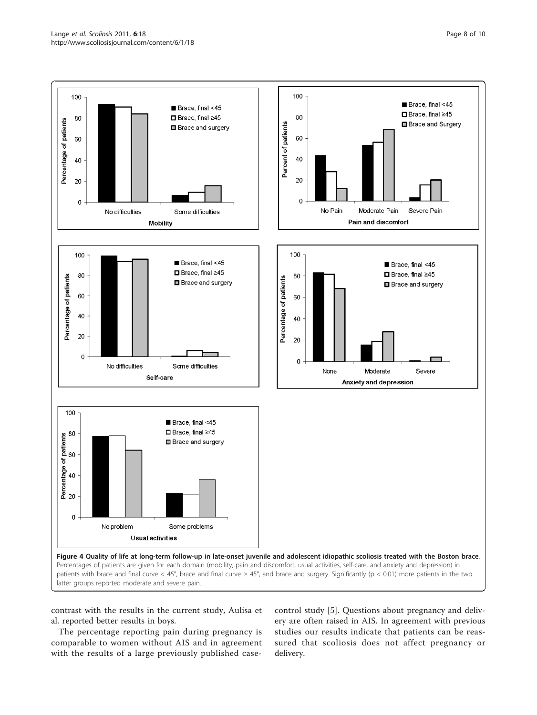<span id="page-7-0"></span>

contrast with the results in the current study, Aulisa et al. reported better results in boys.

The percentage reporting pain during pregnancy is comparable to women without AIS and in agreement with the results of a large previously published casecontrol study [\[5](#page-8-0)]. Questions about pregnancy and delivery are often raised in AIS. In agreement with previous studies our results indicate that patients can be reassured that scoliosis does not affect pregnancy or delivery.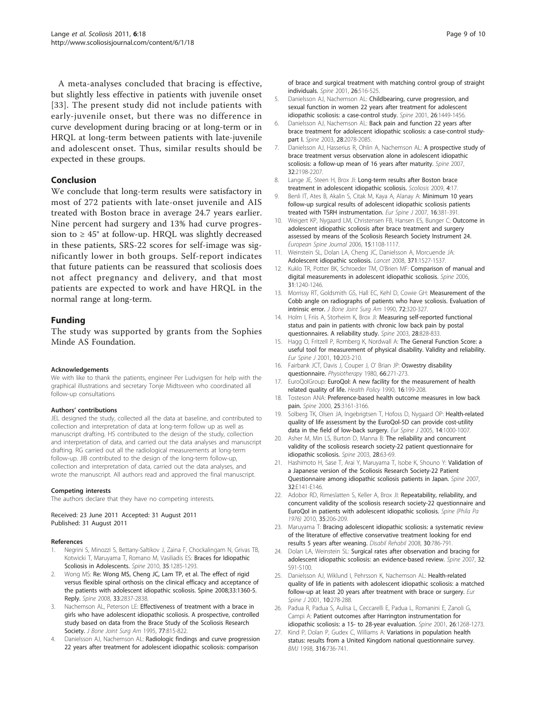<span id="page-8-0"></span>A meta-analyses concluded that bracing is effective, but slightly less effective in patients with juvenile onset [[33\]](#page-9-0). The present study did not include patients with early-juvenile onset, but there was no difference in curve development during bracing or at long-term or in HRQL at long-term between patients with late-juvenile and adolescent onset. Thus, similar results should be expected in these groups.

# Conclusion

We conclude that long-term results were satisfactory in most of 272 patients with late-onset juvenile and AIS treated with Boston brace in average 24.7 years earlier. Nine percent had surgery and 13% had curve progression to  $\geq 45^{\circ}$  at follow-up. HRQL was slightly decreased in these patients, SRS-22 scores for self-image was significantly lower in both groups. Self-report indicates that future patients can be reassured that scoliosis does not affect pregnancy and delivery, and that most patients are expected to work and have HRQL in the normal range at long-term.

# Funding

The study was supported by grants from the Sophies Minde AS Foundation.

#### Acknowledgements

We with like to thank the patients, engineer Per Ludvigsen for help with the graphical illustrations and secretary Tonje Midtsveen who coordinated all follow-up consultations

#### Authors' contributions

JEL designed the study, collected all the data at baseline, and contributed to collection and interpretation of data at long-term follow up as well as manuscript drafting. HS contributed to the design of the study, collection and interpretation of data, and carried out the data analyses and manuscript drafting. RG carried out all the radiological measurements at long-term follow-up. JIB contributed to the design of the long-term follow-up, collection and interpretation of data, carried out the data analyses, and wrote the manuscript. All authors read and approved the final manuscript.

#### Competing interests

The authors declare that they have no competing interests.

Received: 23 June 2011 Accepted: 31 August 2011 Published: 31 August 2011

#### References

- 1. Negrini S, Minozzi S, Bettany-Saltikov J, Zaina F, Chockalingam N, Grivas TB, Kotwicki T, Maruyama T, Romano M, Vasiliadis ES: [Braces for Idiopathic](http://www.ncbi.nlm.nih.gov/pubmed/20461027?dopt=Abstract) [Scoliosis in Adolescents.](http://www.ncbi.nlm.nih.gov/pubmed/20461027?dopt=Abstract) Spine 2010, 35:1285-1293.
- 2. Wong MS: [Re: Wong MS, Cheng JC, Lam TP, et al. The effect of rigid](http://www.ncbi.nlm.nih.gov/pubmed/19050591?dopt=Abstract) [versus flexible spinal orthosis on the clinical efficacy and acceptance of](http://www.ncbi.nlm.nih.gov/pubmed/19050591?dopt=Abstract) [the patients with adolescent idiopathic scoliosis. Spine 2008;33:1360-5.](http://www.ncbi.nlm.nih.gov/pubmed/19050591?dopt=Abstract) [Reply.](http://www.ncbi.nlm.nih.gov/pubmed/19050591?dopt=Abstract) Spine 2008, 33:2837-2838.
- 3. Nachemson AL, Peterson LE: [Effectiveness of treatment with a brace in](http://www.ncbi.nlm.nih.gov/pubmed/7782353?dopt=Abstract) [girls who have adolescent idiopathic scoliosis. A prospective, controlled](http://www.ncbi.nlm.nih.gov/pubmed/7782353?dopt=Abstract) [study based on data from the Brace Study of the Scoliosis Research](http://www.ncbi.nlm.nih.gov/pubmed/7782353?dopt=Abstract) [Society.](http://www.ncbi.nlm.nih.gov/pubmed/7782353?dopt=Abstract) J Bone Joint Surg Am 1995, 77:815-822.
- 4. Danielsson AJ, Nachemson AL: [Radiologic findings and curve progression](http://www.ncbi.nlm.nih.gov/pubmed/11242379?dopt=Abstract) [22 years after treatment for adolescent idiopathic scoliosis: comparison](http://www.ncbi.nlm.nih.gov/pubmed/11242379?dopt=Abstract)

[of brace and surgical treatment with matching control group of straight](http://www.ncbi.nlm.nih.gov/pubmed/11242379?dopt=Abstract) [individuals.](http://www.ncbi.nlm.nih.gov/pubmed/11242379?dopt=Abstract) Spine 2001, 26:516-525.

- 5. Danielsson AJ, Nachemson AL: [Childbearing, curve progression, and](http://www.ncbi.nlm.nih.gov/pubmed/11458150?dopt=Abstract) [sexual function in women 22 years after treatment for adolescent](http://www.ncbi.nlm.nih.gov/pubmed/11458150?dopt=Abstract) [idiopathic scoliosis: a case-control study.](http://www.ncbi.nlm.nih.gov/pubmed/11458150?dopt=Abstract) Spine 2001, 26:1449-1456.
- Danielsson AJ, Nachemson AL: [Back pain and function 22 years after](http://www.ncbi.nlm.nih.gov/pubmed/14501917?dopt=Abstract) [brace treatment for adolescent idiopathic scoliosis: a case-control study](http://www.ncbi.nlm.nih.gov/pubmed/14501917?dopt=Abstract)[part I.](http://www.ncbi.nlm.nih.gov/pubmed/14501917?dopt=Abstract) Spine 2003, 28:2078-2085.
- 7. Danielsson AJ, Hasserius R, Ohlin A, Nachemson AL: [A prospective study of](http://www.ncbi.nlm.nih.gov/pubmed/17873811?dopt=Abstract) [brace treatment versus observation alone in adolescent idiopathic](http://www.ncbi.nlm.nih.gov/pubmed/17873811?dopt=Abstract) [scoliosis: a follow-up mean of 16 years after maturity.](http://www.ncbi.nlm.nih.gov/pubmed/17873811?dopt=Abstract) Spine 2007, 32:2198-2207.
- 8. Lange JE, Steen H, Brox JI: [Long-term results after Boston brace](http://www.ncbi.nlm.nih.gov/pubmed/19709435?dopt=Abstract) [treatment in adolescent idiopathic scoliosis.](http://www.ncbi.nlm.nih.gov/pubmed/19709435?dopt=Abstract) Scoliosis 2009, 4:17.
- 9. Benli IT, Ates B, Akalin S, Citak M, Kaya A, Alanay A: [Minimum 10 years](http://www.ncbi.nlm.nih.gov/pubmed/16924553?dopt=Abstract) [follow-up surgical results of adolescent idiopathic scoliosis patients](http://www.ncbi.nlm.nih.gov/pubmed/16924553?dopt=Abstract) [treated with TSRH instrumentation.](http://www.ncbi.nlm.nih.gov/pubmed/16924553?dopt=Abstract) Eur Spine J 2007, 16:381-391.
- 10. Weigert KP, Nygaard LM, Christensen FB, Hansen ES, Bunger C: [Outcome in](http://www.ncbi.nlm.nih.gov/pubmed/16308724?dopt=Abstract) [adolescent idiopathic scoliosis after brace treatment and surgery](http://www.ncbi.nlm.nih.gov/pubmed/16308724?dopt=Abstract) [assessed by means of the Scoliosis Research Society Instrument 24.](http://www.ncbi.nlm.nih.gov/pubmed/16308724?dopt=Abstract) European Spine Journal 2006, 15:1108-1117.
- 11. Weinstein SL, Dolan LA, Cheng JC, Danielsson A, Morcuende JA: [Adolescent idiopathic scoliosis.](http://www.ncbi.nlm.nih.gov/pubmed/18456103?dopt=Abstract) Lancet 2008, 371:1527-1537.
- 12. Kuklo TR, Potter BK, Schroeder TM, O'Brien MF: [Comparison of manual and](http://www.ncbi.nlm.nih.gov/pubmed/16688038?dopt=Abstract) [digital measurements in adolescent idiopathic scoliosis.](http://www.ncbi.nlm.nih.gov/pubmed/16688038?dopt=Abstract) Spine 2006, 31:1240-1246.
- 13. Morrissy RT, Goldsmith GS, Hall EC, Kehl D, Cowie GH: [Measurement of the](http://www.ncbi.nlm.nih.gov/pubmed/2312527?dopt=Abstract) [Cobb angle on radiographs of patients who have scoliosis. Evaluation of](http://www.ncbi.nlm.nih.gov/pubmed/2312527?dopt=Abstract) [intrinsic error.](http://www.ncbi.nlm.nih.gov/pubmed/2312527?dopt=Abstract) J Bone Joint Surg Am 1990, 72:320-327.
- 14. Holm I, Friis A, Storheim K, Brox JI: [Measuring self-reported functional](http://www.ncbi.nlm.nih.gov/pubmed/12698128?dopt=Abstract) [status and pain in patients with chronic low back pain by postal](http://www.ncbi.nlm.nih.gov/pubmed/12698128?dopt=Abstract) [questionnaires. A reliability study.](http://www.ncbi.nlm.nih.gov/pubmed/12698128?dopt=Abstract) Spine 2003, 28:828-833.
- 15. Hagg O, Fritzell P, Romberg K, Nordwall A: [The General Function Score: a](http://www.ncbi.nlm.nih.gov/pubmed/11469730?dopt=Abstract) [useful tool for measurement of physical disability. Validity and reliability.](http://www.ncbi.nlm.nih.gov/pubmed/11469730?dopt=Abstract) Eur Spine J 2001, 10:203-210.
- 16. Fairbank JCT, Davis J, Couper J, O' Brian JP: [Oswestry disability](http://www.ncbi.nlm.nih.gov/pubmed/6450426?dopt=Abstract) [questionnaire.](http://www.ncbi.nlm.nih.gov/pubmed/6450426?dopt=Abstract) Physiotherapy 1980, 66:271-273.
- 17. EuroQolGroup: [EuroQol: A new facility for the measurement of health](http://www.ncbi.nlm.nih.gov/pubmed/10109801?dopt=Abstract) [related quality of life.](http://www.ncbi.nlm.nih.gov/pubmed/10109801?dopt=Abstract) Health Policy 1990, 16:199-208.
- 18. Tosteson ANA: [Preference-based health outcome measures in low back](http://www.ncbi.nlm.nih.gov/pubmed/11124732?dopt=Abstract) [pain.](http://www.ncbi.nlm.nih.gov/pubmed/11124732?dopt=Abstract) Spine 2000, 25:3161-3166.
- 19. Solberg TK, Olsen JA, Ingebrigtsen T, Hofoss D, Nygaard OP: [Health-related](http://www.ncbi.nlm.nih.gov/pubmed/15843969?dopt=Abstract) [quality of life assessment by the EuroQol-5D can provide cost-utility](http://www.ncbi.nlm.nih.gov/pubmed/15843969?dopt=Abstract) [data in the field of low-back surgery.](http://www.ncbi.nlm.nih.gov/pubmed/15843969?dopt=Abstract) Eur Spine J 2005, 14:1000-1007.
- 20. Asher M, Min LS, Burton D, Manna B: [The reliability and concurrent](http://www.ncbi.nlm.nih.gov/pubmed/12544958?dopt=Abstract) [validity of the scoliosis research society-22 patient questionnaire for](http://www.ncbi.nlm.nih.gov/pubmed/12544958?dopt=Abstract) [idiopathic scoliosis.](http://www.ncbi.nlm.nih.gov/pubmed/12544958?dopt=Abstract) Spine 2003, 28:63-69.
- 21. Hashimoto H, Sase T, Arai Y, Maruyama T, Isobe K, Shouno Y: [Validation of](http://www.ncbi.nlm.nih.gov/pubmed/17304124?dopt=Abstract) [a Japanese version of the Scoliosis Research Society-22 Patient](http://www.ncbi.nlm.nih.gov/pubmed/17304124?dopt=Abstract) [Questionnaire among idiopathic scoliosis patients in Japan.](http://www.ncbi.nlm.nih.gov/pubmed/17304124?dopt=Abstract) Spine 2007, 32:E141-E146.
- 22. Adobor RD, Rimeslatten S, Keller A, Brox JI: Repeatability, reliability, and concurrent validity of the scoliosis research society-22 questionnaire and EuroQol in patients with adolescent idiopathic scoliosis. Spine (Phila Pa 1976) 2010, 35:206-209.
- 23. Maruyama T: [Bracing adolescent idiopathic scoliosis: a systematic review](http://www.ncbi.nlm.nih.gov/pubmed/18432436?dopt=Abstract) [of the literature of effective conservative treatment looking for end](http://www.ncbi.nlm.nih.gov/pubmed/18432436?dopt=Abstract) [results 5 years after weaning.](http://www.ncbi.nlm.nih.gov/pubmed/18432436?dopt=Abstract) Disabil Rehabil 2008, 30:786-791.
- 24. Dolan LA, Weinstein SL: [Surgical rates after observation and bracing for](http://www.ncbi.nlm.nih.gov/pubmed/17728687?dopt=Abstract) [adolescent idiopathic scoliosis: an evidence-based review.](http://www.ncbi.nlm.nih.gov/pubmed/17728687?dopt=Abstract) Spine 2007, 32: S91-S100.
- 25. Danielsson AJ, Wiklund I, Pehrsson K, Nachemson AL: [Health-related](http://www.ncbi.nlm.nih.gov/pubmed/11563612?dopt=Abstract) [quality of life in patients with adolescent idiopathic scoliosis: a matched](http://www.ncbi.nlm.nih.gov/pubmed/11563612?dopt=Abstract) [follow-up at least 20 years after treatment with brace or surgery.](http://www.ncbi.nlm.nih.gov/pubmed/11563612?dopt=Abstract) Eur Spine J 2001, 10:278-288.
- 26. Padua R, Padua S, Aulisa L, Ceccarelli E, Padua L, Romanini E, Zanoli G, Campi A: [Patient outcomes after Harrington instrumentation for](http://www.ncbi.nlm.nih.gov/pubmed/11389396?dopt=Abstract) [idiopathic scoliosis: a 15- to 28-year evaluation.](http://www.ncbi.nlm.nih.gov/pubmed/11389396?dopt=Abstract) Spine 2001, 26:1268-1273.
- 27. Kind P, Dolan P, Gudex C, Williams A: [Variations in population health](http://www.ncbi.nlm.nih.gov/pubmed/9529408?dopt=Abstract) [status: results from a United Kingdom national questionnaire survey.](http://www.ncbi.nlm.nih.gov/pubmed/9529408?dopt=Abstract) BMJ 1998, 316:736-741.